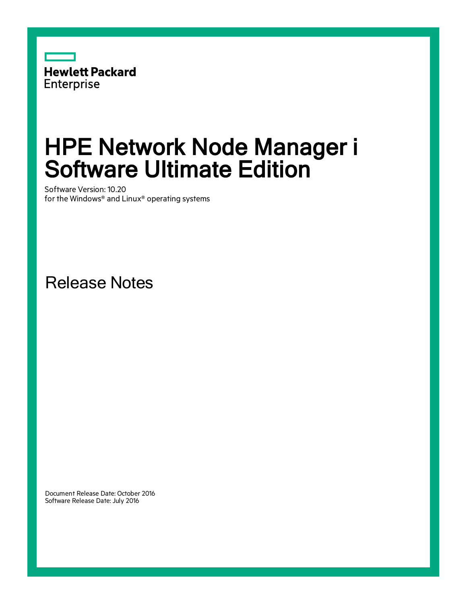

# HPE Network Node Manager i Software Ultimate Edition

Software Version: 10.20 for the Windows® and Linux® operating systems

Release Notes

Document Release Date: October 2016 Software Release Date: July 2016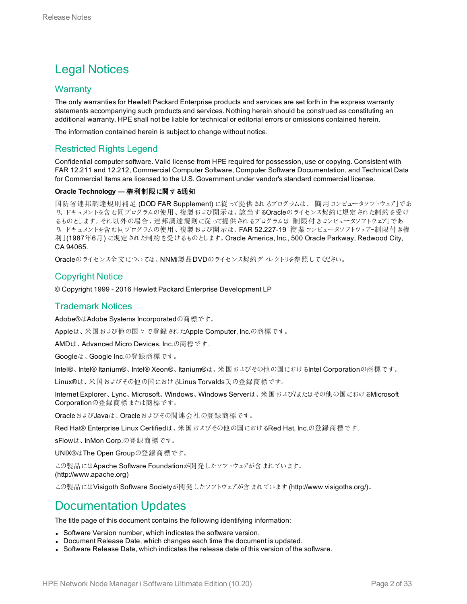### Legal Notices

#### **Warranty**

The only warranties for Hewlett Packard Enterprise products and services are set forth in the express warranty statements accompanying such products and services. Nothing herein should be construed as constituting an additional warranty. HPE shall not be liable for technical or editorial errors or omissions contained herein.

The information contained herein is subject to change without notice.

#### Restricted Rights Legend

Confidential computer software. Valid license from HPE required for possession, use or copying. Consistent with FAR 12.211 and 12.212, Commercial Computer Software, Computer Software Documentation, and Technical Data for Commercial Items are licensed to the U.S. Government under vendor's standard commercial license.

#### **Oracle Technology —** 権利制限に関する通知

国防省連邦調達規則補足 (DOD FAR Supplement) に従って提供されるプログラムは、「商用コンピュータソフトウェア」であ り、ドキュメントを含む同プログラムの使用、複製および開示は、該当するOracleのライセンス契約に規定された制約を受け るものとします。それ以外の場合、連邦調達規則に従って提供されるプログラムは「制限付きコンピュータソフトウェア」であ り,ドキュメントを含む同プログラムの使用、複製および開示は、FAR 52.227-19「商業コンピュータソフトウェア−制限付き権 利」(1987年6月) に規定された制約を受けるものとします。Oracle America, Inc., 500 Oracle Parkway, Redwood City, CA 94065.

Oracleのライセンス全文については、NNMi製品DVDのライセンス契約ディレクトリを参照してください。

#### Copyright Notice

© Copyright 1999 - 2016 Hewlett Packard Enterprise Development LP

#### Trademark Notices

Adobe®はAdobe Systems Incorporatedの商標です。

Appleは、米国および他の国々で登録されたApple Computer, Inc.の商標です。

AMDは、Advanced Micro Devices, Inc.の商標です。

Googleは、Google Inc.の登録商標です。

Intel®、Intel® Itanium®、Intel® Xeon®、Itanium®は、米国およびその他の国におけるIntel Corporationの商標です。

Linux®は、米国およびその他の国におけるLinus Torvalds氏の登録商標です。

Internet Explorer、Lync、Microsoft、Windows、Windows Serverは、米国および/またはその他の国におけるMicrosoft Corporationの登録商標または商標です。

OracleおよびJavaは、Oracleおよびその関連会社の登録商標です。

Red Hat® Enterprise Linux Certifiedは、米国およびその他の国におけるRed Hat, Inc.の登録商標です。

sFlowは、InMon Corp.の登録商標です。

UNIX®はThe Open Groupの登録商標です。

この製品にはApache Software Foundationが開発したソフトウェアが含まれています。 (http://www.apache.org)

この製品にはVisigoth Software Societyが開発したソフトウェアが含まれています(http://www.visigoths.org/)。

### Documentation Updates

The title page of this document contains the following identifying information:

- Software Version number, which indicates the software version.
- Document Release Date, which changes each time the document is updated.
- Software Release Date, which indicates the release date of this version of the software.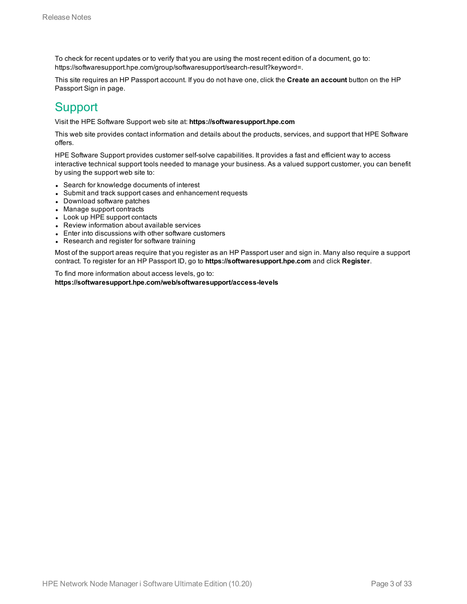To check for recent updates or to verify that you are using the most recent edition of a document, go to: https://softwaresupport.hpe.com/group/softwaresupport/search-result?keyword=.

This site requires an HP Passport account. If you do not have one, click the **Create an account** button on the HP Passport Sign in page.

### **Support**

Visit the HPE Software Support web site at: **https://softwaresupport.hpe.com**

This web site provides contact information and details about the products, services, and support that HPE Software offers.

HPE Software Support provides customer self-solve capabilities. It provides a fast and efficient way to access interactive technical support tools needed to manage your business. As a valued support customer, you can benefit by using the support web site to:

- Search for knowledge documents of interest
- Submit and track support cases and enhancement requests
- Download software patches
- Manage support contracts
- Look up HPE support contacts
- Review information about available services
- Enter into discussions with other software customers
- Research and register for software training

Most of the support areas require that you register as an HP Passport user and sign in. Many also require a support contract. To register for an HP Passport ID, go to **https://softwaresupport.hpe.com** and click **Register**.

To find more information about access levels, go to: **https://softwaresupport.hpe.com/web/softwaresupport/access-levels**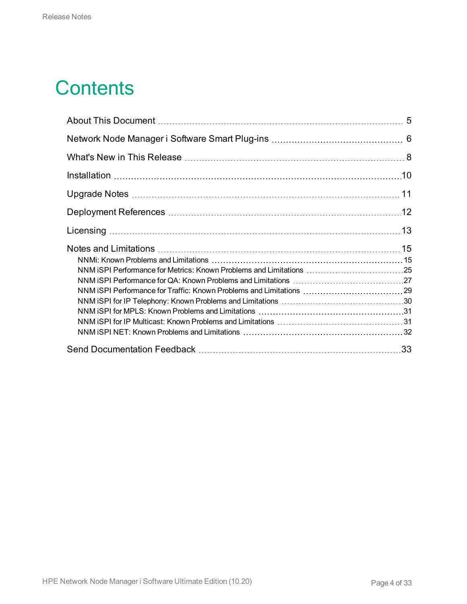## **Contents**

| NNM iSPI Performance for Metrics: Known Problems and Limitations 25<br>NNM iSPI Performance for Traffic: Known Problems and Limitations  29 |  |
|---------------------------------------------------------------------------------------------------------------------------------------------|--|
|                                                                                                                                             |  |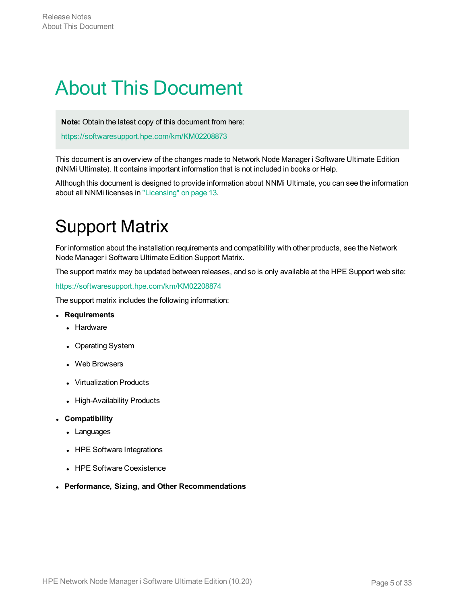## <span id="page-4-0"></span>About This Document

**Note:** Obtain the latest copy of this document from here:

<https://softwaresupport.hpe.com/km/KM02208873>

This document is an overview of the changes made to Network Node Manager i Software Ultimate Edition (NNMi Ultimate). It contains important information that is not included in books or Help.

Although this document is designed to provide information about NNMi Ultimate, you can see the information about all NNMi licenses in ["Licensing"](#page-12-0) on page 13.

## Support Matrix

For information about the installation requirements and compatibility with other products, see the Network Node Manager i Software Ultimate Edition Support Matrix.

The support matrix may be updated between releases, and so is only available at the HPE Support web site:

<https://softwaresupport.hpe.com/km/KM02208874>

The support matrix includes the following information:

<sup>l</sup> **Requirements**

- Hardware
- Operating System
- Web Browsers
- Virtualization Products
- High-Availability Products
- <sup>l</sup> **Compatibility**
	- Languages
	- HPE Software Integrations
	- HPE Software Coexistence
- <sup>l</sup> **Performance, Sizing, and Other Recommendations**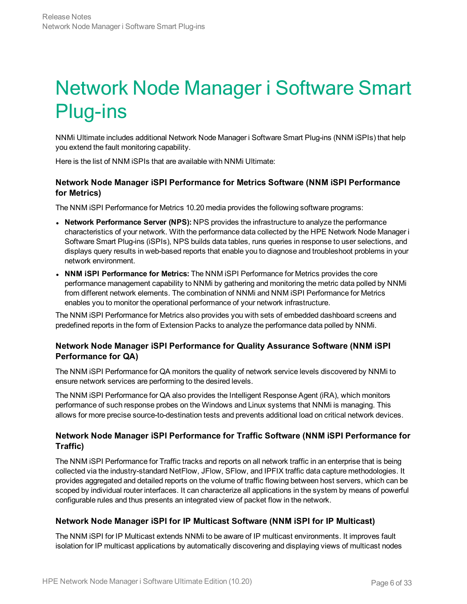# <span id="page-5-0"></span>Network Node Manager i Software Smart Plug-ins

NNMi Ultimate includes additional Network Node Manager i Software Smart Plug-ins (NNM iSPIs) that help you extend the fault monitoring capability.

Here is the list of NNM iSPIs that are available with NNMi Ultimate:

#### **Network Node Manager iSPI Performance for Metrics Software (NNM iSPI Performance for Metrics)**

The NNM iSPI Performance for Metrics 10.20 media provides the following software programs:

- <sup>l</sup> **Network Performance Server (NPS):** NPS provides the infrastructure to analyze the performance characteristics of your network. With the performance data collected by the HPE Network Node Manager i Software Smart Plug-ins (iSPIs), NPS builds data tables, runs queries in response to user selections, and displays query results in web-based reports that enable you to diagnose and troubleshoot problems in your network environment.
- <sup>l</sup> **NNM iSPI Performance for Metrics:** The NNM iSPI Performance for Metrics provides the core performance management capability to NNMi by gathering and monitoring the metric data polled by NNMi from different network elements. The combination of NNMi and NNM iSPI Performance for Metrics enables you to monitor the operational performance of your network infrastructure.

The NNM iSPI Performance for Metrics also provides you with sets of embedded dashboard screens and predefined reports in the form of Extension Packs to analyze the performance data polled by NNMi.

#### **Network Node Manager iSPI Performance for Quality Assurance Software (NNM iSPI Performance for QA)**

The NNM iSPI Performance for QA monitors the quality of network service levels discovered by NNMi to ensure network services are performing to the desired levels.

The NNM iSPI Performance for QA also provides the Intelligent Response Agent (iRA), which monitors performance of such response probes on the Windows and Linux systems that NNMi is managing. This allows for more precise source-to-destination tests and prevents additional load on critical network devices.

#### **Network Node Manager iSPI Performance for Traffic Software (NNM iSPI Performance for Traffic)**

The NNM iSPI Performance for Traffic tracks and reports on all network traffic in an enterprise that is being collected via the industry-standard NetFlow, JFlow, SFlow, and IPFIX traffic data capture methodologies. It provides aggregated and detailed reports on the volume of traffic flowing between host servers, which can be scoped by individual router interfaces. It can characterize all applications in the system by means of powerful configurable rules and thus presents an integrated view of packet flow in the network.

#### **Network Node Manager iSPI for IP Multicast Software (NNM iSPI for IP Multicast)**

The NNM iSPI for IP Multicast extends NNMi to be aware of IP multicast environments. It improves fault isolation for IP multicast applications by automatically discovering and displaying views of multicast nodes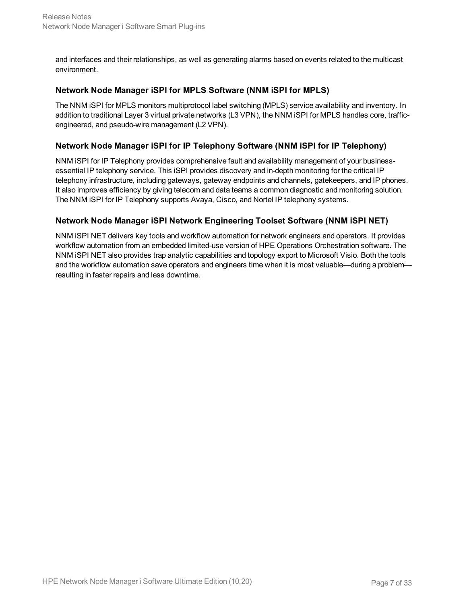and interfaces and their relationships, as well as generating alarms based on events related to the multicast environment.

#### **Network Node Manager iSPI for MPLS Software (NNM iSPI for MPLS)**

The NNM iSPI for MPLS monitors multiprotocol label switching (MPLS) service availability and inventory. In addition to traditional Layer 3 virtual private networks (L3 VPN), the NNM iSPI for MPLS handles core, trafficengineered, and pseudo-wire management (L2 VPN).

#### **Network Node Manager iSPI for IP Telephony Software (NNM iSPI for IP Telephony)**

NNM iSPI for IP Telephony provides comprehensive fault and availability management of your businessessential IP telephony service. This iSPI provides discovery and in-depth monitoring for the critical IP telephony infrastructure, including gateways, gateway endpoints and channels, gatekeepers, and IP phones. It also improves efficiency by giving telecom and data teams a common diagnostic and monitoring solution. The NNM iSPI for IP Telephony supports Avaya, Cisco, and Nortel IP telephony systems.

#### **Network Node Manager iSPI Network Engineering Toolset Software (NNM iSPI NET)**

NNM iSPI NET delivers key tools and workflow automation for network engineers and operators. It provides workflow automation from an embedded limited-use version of HPE Operations Orchestration software. The NNM iSPI NET also provides trap analytic capabilities and topology export to Microsoft Visio. Both the tools and the workflow automation save operators and engineers time when it is most valuable—during a problem resulting in faster repairs and less downtime.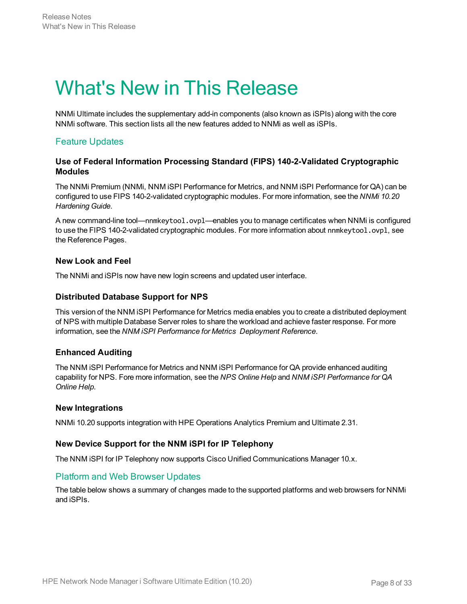## <span id="page-7-0"></span>What's New in This Release

NNMi Ultimate includes the supplementary add-in components (also known as iSPIs) along with the core NNMi software. This section lists all the new features added to NNMi as well as iSPIs.

#### Feature Updates

#### **Use of Federal Information Processing Standard (FIPS) 140-2-Validated Cryptographic Modules**

The NNMi Premium (NNMi, NNM iSPI Performance for Metrics, and NNM iSPI Performance for QA) can be configured to use FIPS 140-2-validated cryptographic modules. For more information, see the *NNMi 10.20 Hardening Guide*.

A new command-line tool—nnmkeytool.ovpl—enables you to manage certificates when NNMi is configured to use the FIPS 140-2-validated cryptographic modules. For more information about nnmkeytool.ovpl, see the Reference Pages.

#### **New Look and Feel**

The NNMi and iSPIs now have new login screens and updated user interface.

#### **Distributed Database Support for NPS**

This version of the NNM iSPI Performance for Metrics media enables you to create a distributed deployment of NPS with multiple Database Server roles to share the workload and achieve faster response. For more information, see the *NNM iSPI Performance for Metrics Deployment Reference*.

#### **Enhanced Auditing**

The NNM iSPI Performance for Metrics and NNM iSPI Performance for QA provide enhanced auditing capability for NPS. Fore more information, see the *NPS Online Help* and *NNM iSPI Performance for QA Online Help*.

#### **New Integrations**

NNMi 10.20 supports integration with HPE Operations Analytics Premium and Ultimate 2.31.

#### **New Device Support for the NNM iSPI for IP Telephony**

The NNM iSPI for IP Telephony now supports Cisco Unified Communications Manager 10.x.

#### Platform and Web Browser Updates

The table below shows a summary of changes made to the supported platforms and web browsers for NNMi and iSPIs.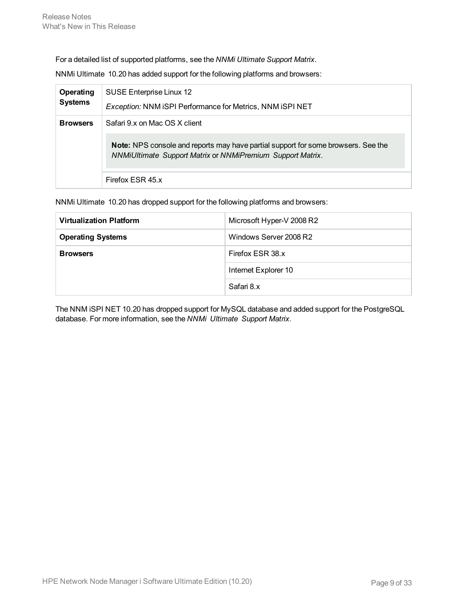For a detailed list of supported platforms, see the *NNMi Ultimate Support Matrix*.

NNMi Ultimate 10.20 has added support for the following platforms and browsers:

| Operating<br><b>Systems</b> | SUSE Enterprise Linux 12<br><b>Exception: NNM iSPI Performance for Metrics, NNM ISPI NET</b>                                                                                     |
|-----------------------------|----------------------------------------------------------------------------------------------------------------------------------------------------------------------------------|
| <b>Browsers</b>             | Safari 9.x on Mac OS X client<br>Note: NPS console and reports may have partial support for some browsers. See the<br>NNMiUltimate Support Matrix or NNMiPremium Support Matrix. |
|                             | Firefox ESR 45.x                                                                                                                                                                 |

NNMi Ultimate 10.20 has dropped support for the following platforms and browsers:

| <b>Virtualization Platform</b> | Microsoft Hyper-V 2008 R2 |
|--------------------------------|---------------------------|
| <b>Operating Systems</b>       | Windows Server 2008 R2    |
| <b>Browsers</b>                | Firefox ESR 38.x          |
|                                | Internet Explorer 10      |
|                                | Safari 8.x                |

The NNM iSPI NET 10.20 has dropped support for MySQL database and added support for the PostgreSQL database. For more information, see the *NNMi Ultimate Support Matrix*.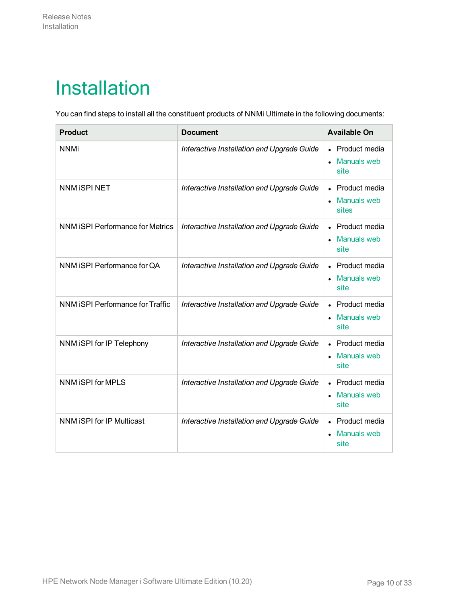## <span id="page-9-0"></span>Installation

You can find steps to install all the constituent products of NNMi Ultimate in the following documents:

| <b>Product</b>                          | <b>Document</b>                            | <b>Available On</b>                           |
|-----------------------------------------|--------------------------------------------|-----------------------------------------------|
| <b>NNMi</b>                             | Interactive Installation and Upgrade Guide | • Product media<br>• Manuals web<br>site      |
| <b>NNM ISPI NET</b>                     | Interactive Installation and Upgrade Guide | • Product media<br>• Manuals web<br>sites     |
| <b>NNM ISPI Performance for Metrics</b> | Interactive Installation and Upgrade Guide | • Product media<br>• Manuals web<br>site      |
| NNM iSPI Performance for QA             | Interactive Installation and Upgrade Guide | • Product media<br>• Manuals web<br>site      |
| NNM ISPI Performance for Traffic        | Interactive Installation and Upgrade Guide | • Product media<br>• Manuals web<br>site      |
| NNM iSPI for IP Telephony               | Interactive Installation and Upgrade Guide | • Product media<br><b>Manuals web</b><br>site |
| NNM iSPI for MPLS                       | Interactive Installation and Upgrade Guide | • Product media<br><b>Manuals web</b><br>site |
| NNM iSPI for IP Multicast               | Interactive Installation and Upgrade Guide | • Product media<br><b>Manuals web</b><br>site |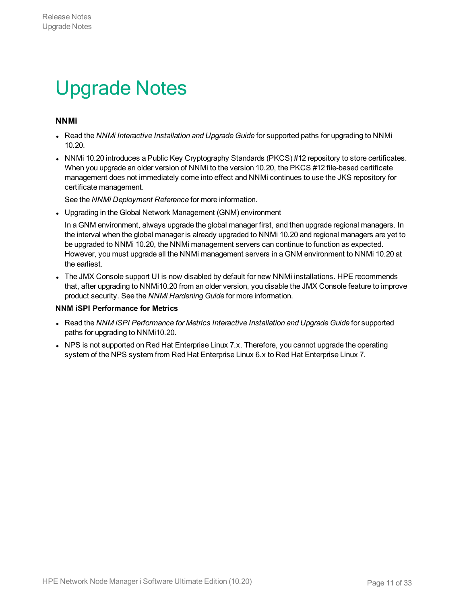## <span id="page-10-0"></span>Upgrade Notes

#### **NNMi**

- <sup>l</sup> Read the *NNMi Interactive Installation and Upgrade Guide* for supported paths for upgrading to NNMi 10.20.
- NNMi 10.20 introduces a Public Key Cryptography Standards (PKCS) #12 repository to store certificates. When you upgrade an older version of NNMi to the version 10.20, the PKCS #12 file-based certificate management does not immediately come into effect and NNMi continues to use the JKS repository for certificate management.

See the *NNMi Deployment Reference* for more information.

• Upgrading in the Global Network Management (GNM) environment

In a GNM environment, always upgrade the global manager first, and then upgrade regional managers. In the interval when the global manager is already upgraded to NNMi 10.20 and regional managers are yet to be upgraded to NNMi 10.20, the NNMi management servers can continue to function as expected. However, you must upgrade all the NNMi management servers in a GNM environment to NNMi 10.20 at the earliest.

• The JMX Console support UI is now disabled by default for new NNMi installations. HPE recommends that, after upgrading to NNMi10.20 from an older version, you disable the JMX Console feature to improve product security. See the *NNMi Hardening Guide* for more information.

#### **NNM iSPI Performance for Metrics**

- <sup>l</sup> Read the *NNM iSPI Performance for Metrics Interactive Installation and Upgrade Guide* for supported paths for upgrading to NNMi10.20.
- NPS is not supported on Red Hat Enterprise Linux 7.x. Therefore, you cannot upgrade the operating system of the NPS system from Red Hat Enterprise Linux 6.x to Red Hat Enterprise Linux 7.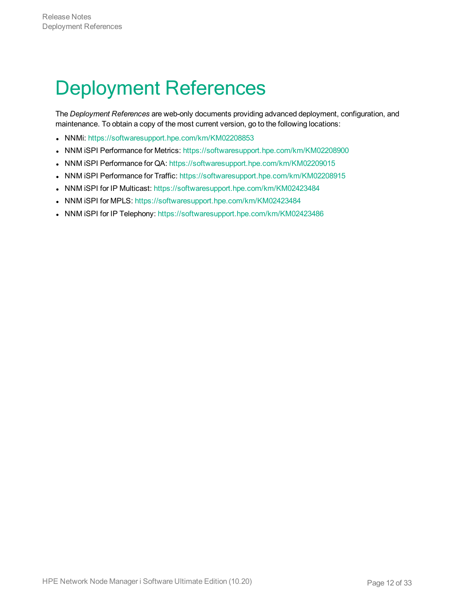## <span id="page-11-0"></span>Deployment References

The *Deployment References* are web-only documents providing advanced deployment, configuration, and maintenance. To obtain a copy of the most current version, go to the following locations:

- NNMi: <https://softwaresupport.hpe.com/km/KM02208853>
- NNM iSPI Performance for Metrics: <https://softwaresupport.hpe.com/km/KM02208900>
- NNM iSPI Performance for QA: <https://softwaresupport.hpe.com/km/KM02209015>
- NNM iSPI Performance for Traffic: <https://softwaresupport.hpe.com/km/KM02208915>
- NNM iSPI for IP Multicast: <https://softwaresupport.hpe.com/km/KM02423484>
- NNM iSPI for MPLS: <https://softwaresupport.hpe.com/km/KM02423484>
- NNM iSPI for IP Telephony: <https://softwaresupport.hpe.com/km/KM02423486>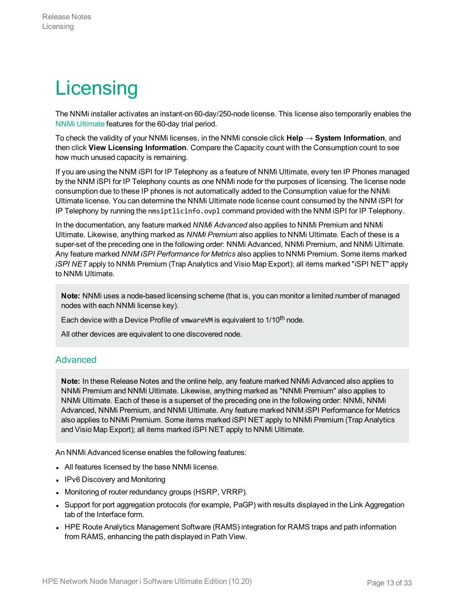# <span id="page-12-0"></span>**Licensing**

The NNMi installer activates an instant-on 60-day/250-node license. This license also temporarily enables the NNMi [Ultimate](#page-13-0) features for the 60-day trial period.

To check the validity of your NNMi licenses, in the NNMi console click **Help → System Information**, and then click **View Licensing Information**. Compare the Capacity count with the Consumption count to see how much unused capacity is remaining.

If you are using the NNM iSPI for IP Telephony as a feature of NNMi Ultimate, every ten IP Phones managed by the NNM iSPI for IP Telephony counts as one NNMi node for the purposes of licensing. The license node consumption due to these IP phones is not automatically added to the Consumption value for the NNMi Ultimate license. You can determine the NNMi Ultimate node license count consumed by the NNM iSPI for IP Telephony by running the nmsiptlicinfo.ovpl command provided with the NNM iSPI for IP Telephony.

In the documentation, any feature marked *NNMi Advanced* also applies to NNMi Premium and NNMi Ultimate. Likewise, anything marked as *NNMi Premium* also applies to NNMi Ultimate. Each of these is a super-set of the preceding one in the following order: NNMi Advanced, NNMi Premium, and NNMi Ultimate. Any feature marked *NNM iSPI Performance for Metrics* also applies to NNMi Premium. Some items marked *iSPI NET* apply to NNMi Premium (Trap Analytics and Visio Map Export); all items marked "iSPI NET" apply to NNMi Ultimate.

**Note:** NNMi uses a node-based licensing scheme (that is, you can monitor a limited number of managed nodes with each NNMi license key).

Each device with a Device Profile of vmwareVM is equivalent to 1/10<sup>th</sup> node.

All other devices are equivalent to one discovered node.

#### <span id="page-12-1"></span>Advanced

**Note:** In these Release Notes and the online help, any feature marked NNMi Advanced also applies to NNMi Premium and NNMi Ultimate. Likewise, anything marked as "NNMi Premium" also applies to NNMi Ultimate. Each of these is a superset of the preceding one in the following order: NNMi, NNMi Advanced, NNMi Premium, and NNMi Ultimate. Any feature marked NNM iSPI Performance for Metrics also applies to NNMi Premium. Some items marked iSPI NET apply to NNMi Premium (Trap Analytics and Visio Map Export); all items marked iSPI NET apply to NNMi Ultimate.

An NNMi Advanced license enables the following features:

- All features licensed by the base NNMi license.
- IPv6 Discovery and Monitoring
- Monitoring of router redundancy groups (HSRP, VRRP).
- Support for port aggregation protocols (for example, PaGP) with results displayed in the Link Aggregation tab of the Interface form.
- HPE Route Analytics Management Software (RAMS) integration for RAMS traps and path information from RAMS, enhancing the path displayed in Path View.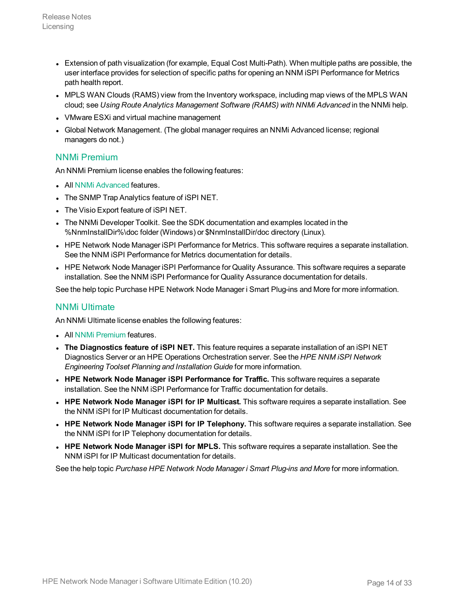- Extension of path visualization (for example, Equal Cost Multi-Path). When multiple paths are possible, the user interface provides for selection of specific paths for opening an NNM iSPI Performance for Metrics path health report.
- MPLS WAN Clouds (RAMS) view from the Inventory workspace, including map views of the MPLS WAN cloud; see *Using Route Analytics Management Software (RAMS) with NNMi Advanced* in the NNMi help.
- VMware ESXi and virtual machine management
- Global Network Management. (The global manager requires an NNMi Advanced license; regional managers do not.)

#### <span id="page-13-1"></span>NNMi Premium

An NNMi Premium license enables the following features:

- All NNMi [Advanced](#page-12-1) features.
- The SNMP Trap Analytics feature of iSPI NET.
- The Visio Export feature of iSPI NET.
- The NNMi Developer Toolkit. See the SDK documentation and examples located in the %NnmInstallDir%\doc folder (Windows) or \$NnmInstallDir/doc directory (Linux).
- HPE Network Node Manager iSPI Performance for Metrics. This software requires a separate installation. See the NNM iSPI Performance for Metrics documentation for details.
- HPE Network Node Manager iSPI Performance for Quality Assurance. This software requires a separate installation. See the NNM iSPI Performance for Quality Assurance documentation for details.

<span id="page-13-0"></span>See the help topic Purchase HPE Network Node Manager i Smart Plug-ins and More for more information.

#### NNMi Ultimate

An NNMi Ultimate license enables the following features:

- All NNMi [Premium](#page-13-1) features.
- <sup>l</sup> **The Diagnostics feature of iSPI NET.** This feature requires a separate installation of an iSPI NET Diagnostics Server or an HPE Operations Orchestration server. See the *HPE NNM iSPI Network Engineering Toolset Planning and Installation Guide* for more information.
- <sup>l</sup> **HPE Network Node Manager iSPI Performance for Traffic.** This software requires a separate installation. See the NNM iSPI Performance for Traffic documentation for details.
- <sup>l</sup> **HPE Network Node Manager iSPI for IP Multicast.** This software requires a separate installation. See the NNM iSPI for IP Multicast documentation for details.
- <sup>l</sup> **HPE Network Node Manager iSPI for IP Telephony.** This software requires a separate installation. See the NNM iSPI for IP Telephony documentation for details.
- <sup>l</sup> **HPE Network Node Manager iSPI for MPLS.** This software requires a separate installation. See the NNM iSPI for IP Multicast documentation for details.

See the help topic *Purchase HPE Network Node Manager i Smart Plug-ins and More* for more information.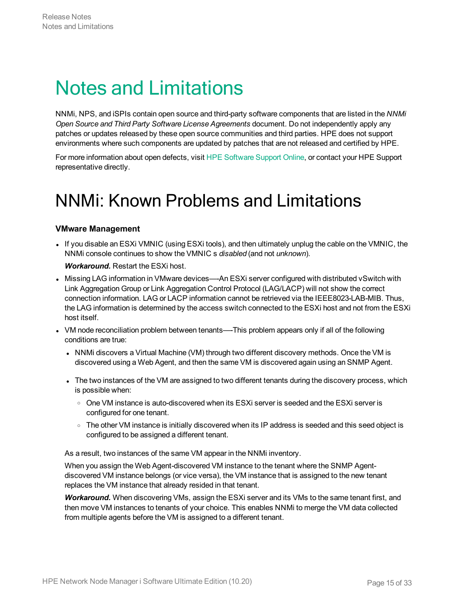## <span id="page-14-0"></span>Notes and Limitations

NNMi, NPS, and iSPIs contain open source and third-party software components that are listed in the *NNMi Open Source and Third Party Software License Agreements* document. Do not independently apply any patches or updates released by these open source communities and third parties. HPE does not support environments where such components are updated by patches that are not released and certified by HPE.

<span id="page-14-1"></span>For more information about open defects, visit HPE [Software](http://www.hp.com/managementsoftware/support) Support Online, or contact your HPE Support representative directly.

### NNMi: Known Problems and Limitations

#### **VMware Management**

• If you disable an ESXi VMNIC (using ESXi tools), and then ultimately unplug the cable on the VMNIC, the NNMi console continues to show the VMNIC s *disabled* (and not *unknown*).

#### *Workaround.* Restart the ESXi host.

- Missing LAG information in VMware devices—-An ESXi server configured with distributed vSwitch with Link Aggregation Group or Link Aggregation Control Protocol (LAG/LACP) will not show the correct connection information. LAG or LACP information cannot be retrieved via the IEEE8023-LAB-MIB. Thus, the LAG information is determined by the access switch connected to the ESXi host and not from the ESXi host itself.
- VM node reconciliation problem between tenants—-This problem appears only if all of the following conditions are true:
	- NNMi discovers a Virtual Machine (VM) through two different discovery methods. Once the VM is discovered using a Web Agent, and then the same VM is discovered again using an SNMP Agent.
	- The two instances of the VM are assigned to two different tenants during the discovery process, which is possible when:
		- $\circ$  One VM instance is auto-discovered when its ESXi server is seeded and the ESXi server is configured for one tenant.
		- The other VM instance is initially discovered when its IP address is seeded and this seed object is configured to be assigned a different tenant.

As a result, two instances of the same VM appear in the NNMi inventory.

When you assign the Web Agent-discovered VM instance to the tenant where the SNMP Agentdiscovered VM instance belongs (or vice versa), the VM instance that is assigned to the new tenant replaces the VM instance that already resided in that tenant.

*Workaround.* When discovering VMs, assign the ESXi server and its VMs to the same tenant first, and then move VM instances to tenants of your choice. This enables NNMi to merge the VM data collected from multiple agents before the VM is assigned to a different tenant.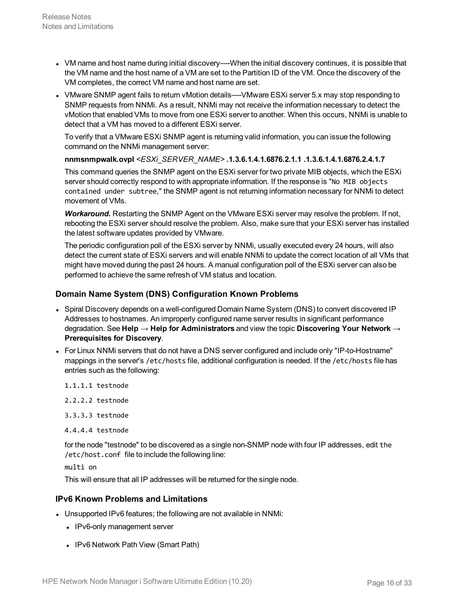- VM name and host name during initial discovery—-When the initial discovery continues, it is possible that the VM name and the host name of a VM are set to the Partition ID of the VM. Once the discovery of the VM completes, the correct VM name and host name are set.
- VMware SNMP agent fails to return vMotion details—-VMware ESXi server 5.x may stop responding to SNMP requests from NNMi. As a result, NNMi may not receive the information necessary to detect the vMotion that enabled VMs to move from one ESXi server to another. When this occurs, NNMi is unable to detect that a VM has moved to a different ESXi server.

To verify that a VMware ESXi SNMP agent is returning valid information, you can issue the following command on the NNMi management server:

**nnmsnmpwalk.ovpl** *<ESXi\_SERVER\_NAME>* **.1.3.6.1.4.1.6876.2.1.1 .1.3.6.1.4.1.6876.2.4.1.7**

This command queries the SNMP agent on the ESXi server for two private MIB objects, which the ESXi server should correctly respond to with appropriate information. If the response is "No MIB objects contained under subtree," the SNMP agent is not returning information necessary for NNMi to detect movement of VMs.

*Workaround.* Restarting the SNMP Agent on the VMware ESXi server may resolve the problem. If not, rebooting the ESXi server should resolve the problem. Also, make sure that your ESXi server has installed the latest software updates provided by VMware.

The periodic configuration poll of the ESXi server by NNMi, usually executed every 24 hours, will also detect the current state of ESXi servers and will enable NNMi to update the correct location of all VMs that might have moved during the past 24 hours. A manual configuration poll of the ESXi server can also be performed to achieve the same refresh of VM status and location.

#### **Domain Name System (DNS) Configuration Known Problems**

- Spiral Discovery depends on a well-configured Domain Name System (DNS) to convert discovered IP Addresses to hostnames. An improperly configured name server results in significant performance degradation. See **Help → Help for Administrators** and view the topic **Discovering Your Network → Prerequisites for Discovery**.
- For Linux NNMi servers that do not have a DNS server configured and include only "IP-to-Hostname" mappings in the server's /etc/hosts file, additional configuration is needed. If the /etc/hosts file has entries such as the following:
	- 1.1.1.1 testnode

2.2.2.2 testnode

- 3.3.3.3 testnode
- 4.4.4.4 testnode

for the node "testnode" to be discovered as a single non-SNMP node with four IP addresses, edit the /etc/host.conf file to include the following line:

multi on

This will ensure that all IP addresses will be returned for the single node.

#### **IPv6 Known Problems and Limitations**

- Unsupported IPv6 features; the following are not available in NNMi:
	- IPv6-only management server
	- IPv6 Network Path View (Smart Path)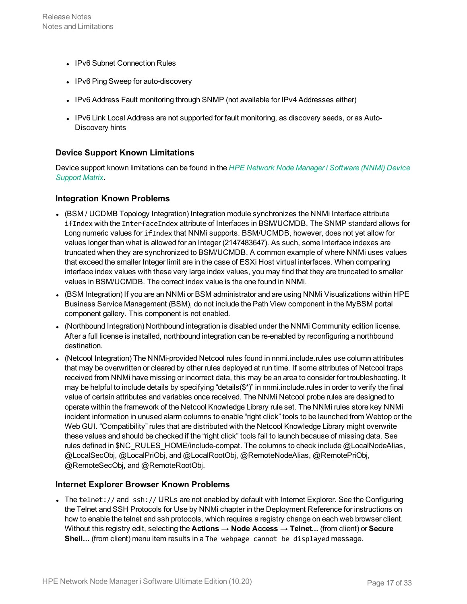- IPv6 Subnet Connection Rules
- IPv6 Ping Sweep for auto-discovery
- IPv6 Address Fault monitoring through SNMP (not available for IPv4 Addresses either)
- IPv6 Link Local Address are not supported for fault monitoring, as discovery seeds, or as Auto-Discovery hints

#### **Device Support Known Limitations**

Device support known limitations can be found in the *HPE Network Node Manager i [Software](https://softwaresupport.hpe.com/km/KM02208863) (NNMi) Device [Support](https://softwaresupport.hpe.com/km/KM02208863) Matrix*.

#### **Integration Known Problems**

- (BSM / UCDMB Topology Integration) Integration module synchronizes the NNMi Interface attribute ifIndex with the InterfaceIndex attribute of Interfaces in BSM/UCMDB. The SNMP standard allows for Long numeric values for ifIndex that NNMi supports. BSM/UCMDB, however, does not yet allow for values longer than what is allowed for an Integer (2147483647). As such, some Interface indexes are truncated when they are synchronized to BSM/UCMDB. A common example of where NNMi uses values that exceed the smaller Integer limit are in the case of ESXi Host virtual interfaces. When comparing interface index values with these very large index values, you may find that they are truncated to smaller values in BSM/UCMDB. The correct index value is the one found in NNMi.
- (BSM Integration) If you are an NNMi or BSM administrator and are using NNMi Visualizations within HPE Business Service Management (BSM), do not include the Path View component in the MyBSM portal component gallery. This component is not enabled.
- (Northbound Integration) Northbound integration is disabled under the NNMi Community edition license. After a full license is installed, northbound integration can be re-enabled by reconfiguring a northbound destination.
- (Netcool Integration) The NNMi-provided Netcool rules found in nnmi.include.rules use column attributes that may be overwritten or cleared by other rules deployed at run time. If some attributes of Netcool traps received from NNMi have missing or incorrect data, this may be an area to consider for troubleshooting. It may be helpful to include details by specifying "details(\$\*)" in nnmi.include.rules in order to verify the final value of certain attributes and variables once received. The NNMi Netcool probe rules are designed to operate within the framework of the Netcool Knowledge Library rule set. The NNMi rules store key NNMi incident information in unused alarm columns to enable "right click" tools to be launched from Webtop or the Web GUI. "Compatibility" rules that are distributed with the Netcool Knowledge Library might overwrite these values and should be checked if the "right click" tools fail to launch because of missing data. See rules defined in \$NC\_RULES\_HOME/include-compat. The columns to check include @LocalNodeAlias, @LocalSecObj, @LocalPriObj, and @LocalRootObj, @RemoteNodeAlias, @RemotePriObj, @RemoteSecObj, and @RemoteRootObj.

#### **Internet Explorer Browser Known Problems**

• The telnet:// and ssh:// URLs are not enabled by default with Internet Explorer. See the Configuring the Telnet and SSH Protocols for Use by NNMi chapter in the Deployment Reference for instructions on how to enable the telnet and ssh protocols, which requires a registry change on each web browser client. Without this registry edit, selecting the **Actions → Node Access → Telnet...** (from client) or **Secure** Shell... (from client) menu item results in a The webpage cannot be displayed message.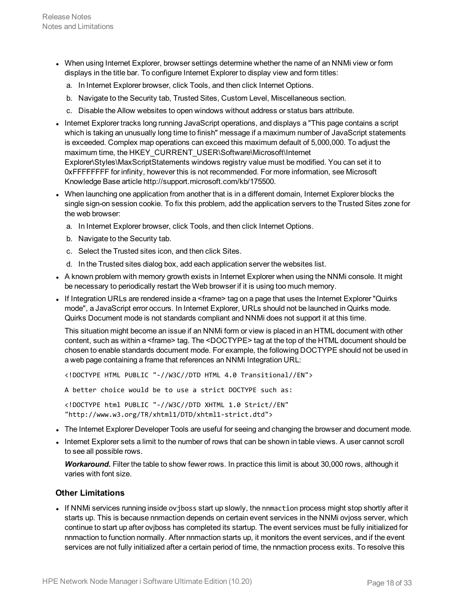- When using Internet Explorer, browser settings determine whether the name of an NNMi view or form displays in the title bar. To configure Internet Explorer to display view and form titles:
	- a. In Internet Explorer browser, click Tools, and then click Internet Options.
	- b. Navigate to the Security tab, Trusted Sites, Custom Level, Miscellaneous section.
	- c. Disable the Allow websites to open windows without address or status bars attribute.
- Internet Explorer tracks long running JavaScript operations, and displays a "This page contains a script which is taking an unusually long time to finish" message if a maximum number of JavaScript statements is exceeded. Complex map operations can exceed this maximum default of 5,000,000. To adjust the maximum time, the HKEY\_CURRENT\_USER\Software\Microsoft\Internet Explorer\Styles\MaxScriptStatements windows registry value must be modified. You can set it to 0xFFFFFFFF for infinity, however this is not recommended. For more information, see Microsoft Knowledge Base article http://support.microsoft.com/kb/175500.
- When launching one application from another that is in a different domain, Internet Explorer blocks the single sign-on session cookie. To fix this problem, add the application servers to the Trusted Sites zone for the web browser:
	- a. In Internet Explorer browser, click Tools, and then click Internet Options.
	- b. Navigate to the Security tab.
	- c. Select the Trusted sites icon, and then click Sites.
	- d. In the Trusted sites dialog box, add each application server the websites list.
- A known problem with memory growth exists in Internet Explorer when using the NNMi console. It might be necessary to periodically restart the Web browser if it is using too much memory.
- If Integration URLs are rendered inside a  $\leq$  frame  $\geq$  tag on a page that uses the Internet Explorer "Quirks" mode", a JavaScript error occurs. In Internet Explorer, URLs should not be launched in Quirks mode. Quirks Document mode is not standards compliant and NNMi does not support it at this time.

This situation might become an issue if an NNMi form or view is placed in an HTML document with other content, such as within a <frame> tag. The <DOCTYPE> tag at the top of the HTML document should be chosen to enable standards document mode. For example, the following DOCTYPE should not be used in a web page containing a frame that references an NNMi Integration URL:

<!DOCTYPE HTML PUBLIC "-//W3C//DTD HTML 4.0 Transitional//EN">

A better choice would be to use a strict DOCTYPE such as:

<!DOCTYPE html PUBLIC "-//W3C//DTD XHTML 1.0 Strict//EN" "http://www.w3.org/TR/xhtml1/DTD/xhtml1-strict.dtd">

- The Internet Explorer Developer Tools are useful for seeing and changing the browser and document mode.
- Internet Explorer sets a limit to the number of rows that can be shown in table views. A user cannot scroll to see all possible rows.

*Workaround.* Filter the table to show fewer rows. In practice this limit is about 30,000 rows, although it varies with font size.

#### **Other Limitations**

• If NNMi services running inside ovjboss start up slowly, the nnmaction process might stop shortly after it starts up. This is because nnmaction depends on certain event services in the NNMi ovjoss server, which continue to start up after ovjboss has completed its startup. The event services must be fully initialized for nnmaction to function normally. After nnmaction starts up, it monitors the event services, and if the event services are not fully initialized after a certain period of time, the nnmaction process exits. To resolve this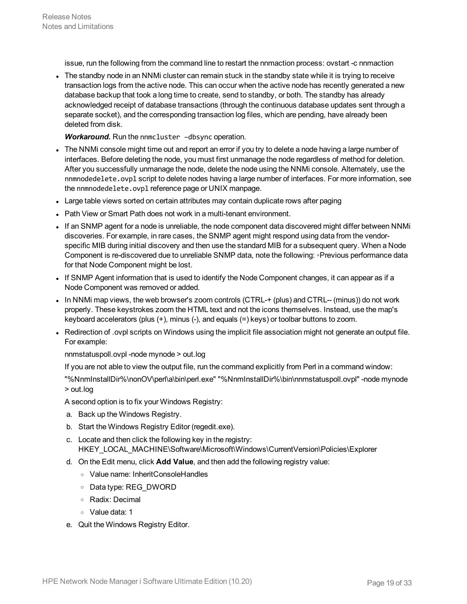issue, run the following from the command line to restart the nnmaction process: ovstart -c nnmaction

The standby node in an NNMi cluster can remain stuck in the standby state while it is trying to receive transaction logs from the active node. This can occur when the active node has recently generated a new database backup that took a long time to create, send to standby, or both. The standby has already acknowledged receipt of database transactions (through the continuous database updates sent through a separate socket), and the corresponding transaction log files, which are pending, have already been deleted from disk.

*Workaround.* Run the nnmcluster –dbsync operation.

- The NNMi console might time out and report an error if you try to delete a node having a large number of interfaces. Before deleting the node, you must first unmanage the node regardless of method for deletion. After you successfully unmanage the node, delete the node using the NNMi console. Alternately, use the nnmnodedelete.ovpl script to delete nodes having a large number of interfaces. For more information, see the nnmnodedelete.ovpl reference page or UNIX manpage.
- Large table views sorted on certain attributes may contain duplicate rows after paging
- Path View or Smart Path does not work in a multi-tenant environment.
- If an SNMP agent for a node is unreliable, the node component data discovered might differ between NNMi discoveries. For example, in rare cases, the SNMP agent might respond using data from the vendorspecific MIB during initial discovery and then use the standard MIB for a subsequent query. When a Node Component is re-discovered due to unreliable SNMP data, note the following: ◦Previous performance data for that Node Component might be lost.
- If SNMP Agent information that is used to identify the Node Component changes, it can appear as if a Node Component was removed or added.
- In NNMi map views, the web browser's zoom controls (CTRL-+ (plus) and CTRL-- (minus)) do not work properly. These keystrokes zoom the HTML text and not the icons themselves. Instead, use the map's keyboard accelerators (plus (+), minus (-), and equals (=) keys) or toolbar buttons to zoom.
- Redirection of .ovpl scripts on Windows using the implicit file association might not generate an output file. For example:

nnmstatuspoll.ovpl -node mynode > out.log

If you are not able to view the output file, run the command explicitly from Perl in a command window:

"%NnmInstallDir%\nonOV\perl\a\bin\perl.exe" "%NnmInstallDir%\bin\nnmstatuspoll.ovpl" -node mynode > out.log

- A second option is to fix your Windows Registry:
- a. Back up the Windows Registry.
- b. Start the Windows Registry Editor (regedit.exe).
- c. Locate and then click the following key in the registry: HKEY\_LOCAL\_MACHINE\Software\Microsoft\Windows\CurrentVersion\Policies\Explorer
- d. On the Edit menu, click **Add Value**, and then add the following registry value:
	- <sup>o</sup> Value name: InheritConsoleHandles
	- <sup>o</sup> Data type: REG\_DWORD
	- <sup>o</sup> Radix: Decimal
	- <sup>o</sup> Value data: 1
- e. Quit the Windows Registry Editor.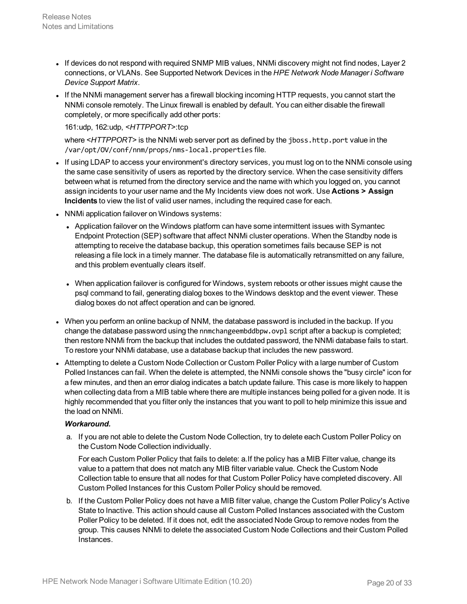- If devices do not respond with required SNMP MIB values, NNMi discovery might not find nodes, Layer 2 connections, or VLANs. See Supported Network Devices in the *HPE Network Node Manager i Software Device Support Matrix*.
- If the NNMi management server has a firewall blocking incoming HTTP requests, you cannot start the NNMi console remotely. The Linux firewall is enabled by default. You can either disable the firewall completely, or more specifically add other ports:

#### 161:udp, 162:udp, *<HTTPPORT>*:tcp

where <HTTPPORT> is the NNMi web server port as defined by the jboss.http.port value in the /var/opt/OV/conf/nnm/props/nms-local.properties file.

- If using LDAP to access your environment's directory services, you must log on to the NNMi console using the same case sensitivity of users as reported by the directory service. When the case sensitivity differs between what is returned from the directory service and the name with which you logged on, you cannot assign incidents to your user name and the My Incidents view does not work. Use **Actions > Assign Incidents** to view the list of valid user names, including the required case for each.
- NNMi application failover on Windows systems:
	- Application failover on the Windows platform can have some intermittent issues with Symantec Endpoint Protection (SEP) software that affect NNMi cluster operations. When the Standby node is attempting to receive the database backup, this operation sometimes fails because SEP is not releasing a file lock in a timely manner. The database file is automatically retransmitted on any failure, and this problem eventually clears itself.
	- When application failover is configured for Windows, system reboots or other issues might cause the psql command to fail, generating dialog boxes to the Windows desktop and the event viewer. These dialog boxes do not affect operation and can be ignored.
- When you perform an online backup of NNM, the database password is included in the backup. If you change the database password using the nnmchangeembddbpw.ovpl script after a backup is completed; then restore NNMi from the backup that includes the outdated password, the NNMi database fails to start. To restore your NNMi database, use a database backup that includes the new password.
- Attempting to delete a Custom Node Collection or Custom Poller Policy with a large number of Custom Polled Instances can fail. When the delete is attempted, the NNMi console shows the "busy circle" icon for a few minutes, and then an error dialog indicates a batch update failure. This case is more likely to happen when collecting data from a MIB table where there are multiple instances being polled for a given node. It is highly recommended that you filter only the instances that you want to poll to help minimize this issue and the load on NNMi.

#### *Workaround.*

a. If you are not able to delete the Custom Node Collection, try to delete each Custom Poller Policy on the Custom Node Collection individually.

For each Custom Poller Policy that fails to delete: a.If the policy has a MIB Filter value, change its value to a pattern that does not match any MIB filter variable value. Check the Custom Node Collection table to ensure that all nodes for that Custom Poller Policy have completed discovery. All Custom Polled Instances for this Custom Poller Policy should be removed.

b. If the Custom Poller Policy does not have a MIB filter value, change the Custom Poller Policy's Active State to Inactive. This action should cause all Custom Polled Instances associated with the Custom Poller Policy to be deleted. If it does not, edit the associated Node Group to remove nodes from the group. This causes NNMi to delete the associated Custom Node Collections and their Custom Polled Instances.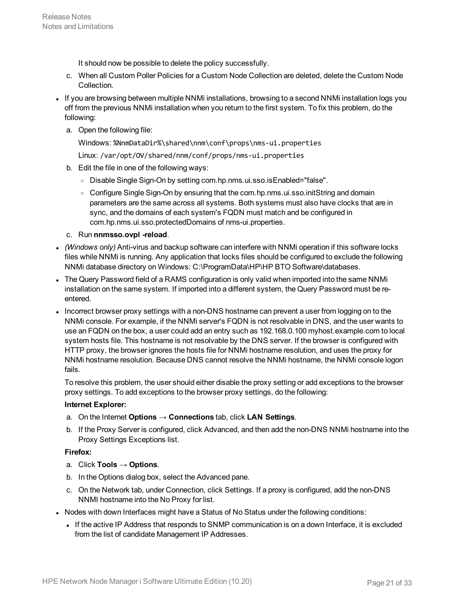It should now be possible to delete the policy successfully.

- c. When all Custom Poller Policies for a Custom Node Collection are deleted, delete the Custom Node Collection.
- If you are browsing between multiple NNMi installations, browsing to a second NNMi installation logs you off from the previous NNMi installation when you return to the first system. To fix this problem, do the following:
	- a. Open the following file:

Windows: %NnmDataDir%\shared\nnm\conf\props\nms-ui.properties

Linux: /var/opt/OV/shared/nnm/conf/props/nms-ui.properties

- b. Edit the file in one of the following ways:
	- <sup>o</sup> Disable Single Sign-On by setting com.hp.nms.ui.sso.isEnabled="false".
	- Configure Single Sign-On by ensuring that the com.hp.nms.ui.sso.initString and domain parameters are the same across all systems. Both systems must also have clocks that are in sync, and the domains of each system's FQDN must match and be configured in com.hp.nms.ui.sso.protectedDomains of nms-ui.properties.
- c. Run **nnmsso.ovpl -reload**.
- <sup>l</sup> *(Windows only)* Anti-virus and backup software can interfere with NNMi operation if this software locks files while NNMi is running. Any application that locks files should be configured to exclude the following NNMi database directory on Windows: C:\ProgramData\HP\HP BTO Software\databases.
- The Query Password field of a RAMS configuration is only valid when imported into the same NNMi installation on the same system. If imported into a different system, the Query Password must be reentered.
- Incorrect browser proxy settings with a non-DNS hostname can prevent a user from logging on to the NNMi console. For example, if the NNMi server's FQDN is not resolvable in DNS, and the user wants to use an FQDN on the box, a user could add an entry such as 192.168.0.100 myhost.example.com to local system hosts file. This hostname is not resolvable by the DNS server. If the browser is configured with HTTP proxy, the browser ignores the hosts file for NNMi hostname resolution, and uses the proxy for NNMi hostname resolution. Because DNS cannot resolve the NNMi hostname, the NNMi console logon fails.

To resolve this problem, the user should either disable the proxy setting or add exceptions to the browser proxy settings. To add exceptions to the browser proxy settings, do the following:

#### **Internet Explorer:**

- a. On the Internet **Options → Connections** tab, click **LAN Settings**.
- b. If the Proxy Server is configured, click Advanced, and then add the non-DNS NNMi hostname into the Proxy Settings Exceptions list.

#### **Firefox:**

- a. Click **Tools → Options**.
- b. In the Options dialog box, select the Advanced pane.
- c. On the Network tab, under Connection, click Settings. If a proxy is configured, add the non-DNS NNMI hostname into the No Proxy for list.
- Nodes with down Interfaces might have a Status of No Status under the following conditions:
	- If the active IP Address that responds to SNMP communication is on a down Interface, it is excluded from the list of candidate Management IP Addresses.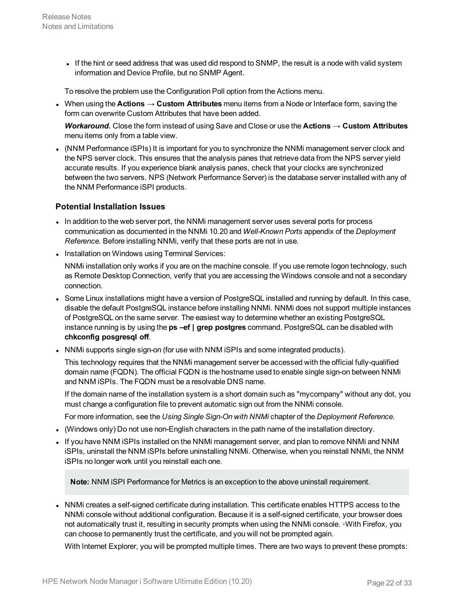If the hint or seed address that was used did respond to SNMP, the result is a node with valid system information and Device Profile, but no SNMP Agent.

To resolve the problem use the Configuration Poll option from the Actions menu.

<sup>l</sup> When using the **Actions → Custom Attributes** menu items from a Node or Interface form, saving the form can overwrite Custom Attributes that have been added.

*Workaround.* Close the form instead of using Save and Close or use the **Actions → Custom Attributes** menu items only from a table view.

• (NNM Performance iSPIs) It is important for you to synchronize the NNMi management server clock and the NPS server clock. This ensures that the analysis panes that retrieve data from the NPS server yield accurate results. If you experience blank analysis panes, check that your clocks are synchronized between the two servers. NPS (Network Performance Server) is the database server installed with any of the NNM Performance iSPI products.

#### **Potential Installation Issues**

- In addition to the web server port, the NNMi management server uses several ports for process communication as documented in the NNMi 10.20 and *Well-Known Ports* appendix of the *Deployment Reference*. Before installing NNMi, verify that these ports are not in use.
- Installation on Windows using Terminal Services:

NNMi installation only works if you are on the machine console. If you use remote logon technology, such as Remote Desktop Connection, verify that you are accessing the Windows console and not a secondary connection.

- Some Linux installations might have a version of PostgreSQL installed and running by default. In this case, disable the default PostgreSQL instance before installing NNMi. NNMi does not support multiple instances of PostgreSQL on the same server. The easiest way to determine whether an existing PostgreSQL instance running is by using the **ps –ef | grep postgres** command. PostgreSQL can be disabled with **chkconfig posgresql off**.
- NNMi supports single sign-on (for use with NNM iSPIs and some integrated products).

This technology requires that the NNMi management server be accessed with the official fully-qualified domain name (FQDN). The official FQDN is the hostname used to enable single sign-on between NNMi and NNM iSPIs. The FQDN must be a resolvable DNS name.

If the domain name of the installation system is a short domain such as "mycompany" without any dot, you must change a configuration file to prevent automatic sign out from the NNMi console.

For more information, see the *Using Single Sign-On with NNMi* chapter of the *Deployment Reference*.

- (Windows only) Do not use non-English characters in the path name of the installation directory.
- If you have NNM iSPIs installed on the NNMi management server, and plan to remove NNMi and NNM iSPIs, uninstall the NNM iSPIs before uninstalling NNMi. Otherwise, when you reinstall NNMi, the NNM iSPIs no longer work until you reinstall each one.

**Note:** NNM iSPI Performance for Metrics is an exception to the above uninstall requirement.

• NNMi creates a self-signed certificate during installation. This certificate enables HTTPS access to the NNMi console without additional configuration. Because it is a self-signed certificate, your browser does not automatically trust it, resulting in security prompts when using the NNMi console. ∘With Firefox, you can choose to permanently trust the certificate, and you will not be prompted again.

With Internet Explorer, you will be prompted multiple times. There are two ways to prevent these prompts: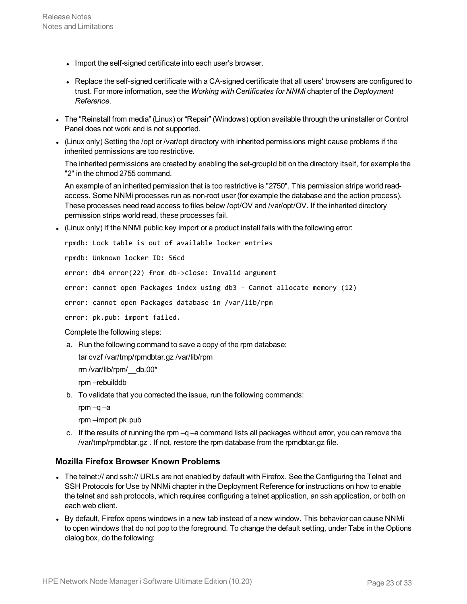- Import the self-signed certificate into each user's browser.
- Replace the self-signed certificate with a CA-signed certificate that all users' browsers are configured to trust. For more information, see the *Working with Certificates for NNMi* chapter of the *Deployment Reference*.
- <sup>l</sup> The "Reinstall from media" (Linux) or "Repair" (Windows) option available through the uninstaller or Control Panel does not work and is not supported.
- (Linux only) Setting the /opt or /var/opt directory with inherited permissions might cause problems if the inherited permissions are too restrictive.

The inherited permissions are created by enabling the set-groupId bit on the directory itself, for example the "2" in the chmod 2755 command.

An example of an inherited permission that is too restrictive is "2750". This permission strips world readaccess. Some NNMi processes run as non-root user (for example the database and the action process). These processes need read access to files below /opt/OV and /var/opt/OV. If the inherited directory permission strips world read, these processes fail.

 $\bullet$  (Linux only) If the NNMi public key import or a product install fails with the following error:

rpmdb: Lock table is out of available locker entries

rpmdb: Unknown locker ID: 56cd

error: db4 error(22) from db->close: Invalid argument

error: cannot open Packages index using db3 - Cannot allocate memory (12)

error: cannot open Packages database in /var/lib/rpm

error: pk.pub: import failed.

Complete the following steps:

a. Run the following command to save a copy of the rpm database:

tar cvzf /var/tmp/rpmdbtar.gz /var/lib/rpm

rm /var/lib/rpm/\_\_db.00\*

rpm –rebuilddb

- b. To validate that you corrected the issue, run the following commands:
	- rpm –q –a

rpm –import pk.pub

c. If the results of running the rpm  $-q$  –a command lists all packages without error, you can remove the /var/tmp/rpmdbtar.gz . If not, restore the rpm database from the rpmdbtar.gz file.

#### **Mozilla Firefox Browser Known Problems**

- The telnet:// and ssh:// URLs are not enabled by default with Firefox. See the Configuring the Telnet and SSH Protocols for Use by NNMi chapter in the Deployment Reference for instructions on how to enable the telnet and ssh protocols, which requires configuring a telnet application, an ssh application, or both on each web client.
- By default, Firefox opens windows in a new tab instead of a new window. This behavior can cause NNMi to open windows that do not pop to the foreground. To change the default setting, under Tabs in the Options dialog box, do the following: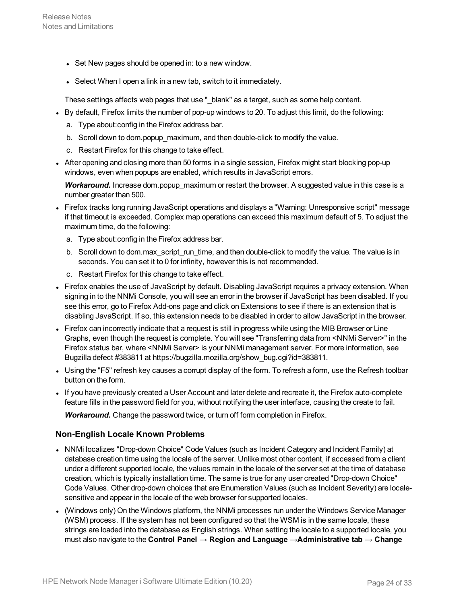- Set New pages should be opened in: to a new window.
- Select When I open a link in a new tab, switch to it immediately.

These settings affects web pages that use "\_blank" as a target, such as some help content.

- By default, Firefox limits the number of pop-up windows to 20. To adjust this limit, do the following:
	- a. Type about:config in the Firefox address bar.
	- b. Scroll down to dom.popup\_maximum, and then double-click to modify the value.
	- c. Restart Firefox for this change to take effect.
- After opening and closing more than 50 forms in a single session, Firefox might start blocking pop-up windows, even when popups are enabled, which results in JavaScript errors.

*Workaround.* Increase dom.popup\_maximum or restart the browser. A suggested value in this case is a number greater than 500.

- Firefox tracks long running JavaScript operations and displays a "Warning: Unresponsive script" message if that timeout is exceeded. Complex map operations can exceed this maximum default of 5. To adjust the maximum time, do the following:
	- a. Type about:config in the Firefox address bar.
	- b. Scroll down to dom.max\_script\_run\_time, and then double-click to modify the value. The value is in seconds. You can set it to 0 for infinity, however this is not recommended.
	- c. Restart Firefox for this change to take effect.
- Firefox enables the use of JavaScript by default. Disabling JavaScript requires a privacy extension. When signing in to the NNMi Console, you will see an error in the browser if JavaScript has been disabled. If you see this error, go to Firefox Add-ons page and click on Extensions to see if there is an extension that is disabling JavaScript. If so, this extension needs to be disabled in order to allow JavaScript in the browser.
- Firefox can incorrectly indicate that a request is still in progress while using the MIB Browser or Line Graphs, even though the request is complete. You will see "Transferring data from <NNMi Server>" in the Firefox status bar, where <NNMi Server> is your NNMi management server. For more information, see Bugzilla defect #383811 at https://bugzilla.mozilla.org/show\_bug.cgi?id=383811.
- Using the "F5" refresh key causes a corrupt display of the form. To refresh a form, use the Refresh toolbar button on the form.
- If you have previously created a User Account and later delete and recreate it, the Firefox auto-complete feature fills in the password field for you, without notifying the user interface, causing the create to fail.

*Workaround.* Change the password twice, or turn off form completion in Firefox.

#### **Non-English Locale Known Problems**

- NNMi localizes "Drop-down Choice" Code Values (such as Incident Category and Incident Family) at database creation time using the locale of the server. Unlike most other content, if accessed from a client under a different supported locale, the values remain in the locale of the server set at the time of database creation, which is typically installation time. The same is true for any user created "Drop-down Choice" Code Values. Other drop-down choices that are Enumeration Values (such as Incident Severity) are localesensitive and appear in the locale of the web browser for supported locales.
- (Windows only) On the Windows platform, the NNMi processes run under the Windows Service Manager (WSM) process. If the system has not been configured so that the WSM is in the same locale, these strings are loaded into the database as English strings. When setting the locale to a supported locale, you must also navigate to the **Control Panel → Region and Language →Administrative tab → Change**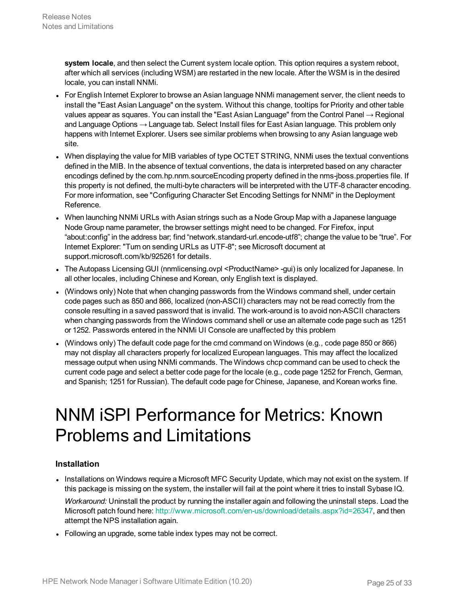**system locale**, and then select the Current system locale option. This option requires a system reboot, after which all services (including WSM) are restarted in the new locale. After the WSM is in the desired locale, you can install NNMi.

- For English Internet Explorer to browse an Asian language NNMi management server, the client needs to install the "East Asian Language" on the system. Without this change, tooltips for Priority and other table values appear as squares. You can install the "East Asian Language" from the Control Panel → Regional and Language Options → Language tab. Select Install files for East Asian language. This problem only happens with Internet Explorer. Users see similar problems when browsing to any Asian language web site.
- When displaying the value for MIB variables of type OCTET STRING, NNMi uses the textual conventions defined in the MIB. In the absence of textual conventions, the data is interpreted based on any character encodings defined by the com.hp.nnm.sourceEncoding property defined in the nms-jboss.properties file. If this property is not defined, the multi-byte characters will be interpreted with the UTF-8 character encoding. For more information, see "Configuring Character Set Encoding Settings for NNMi" in the Deployment Reference.
- When launching NNMi URLs with Asian strings such as a Node Group Map with a Japanese language Node Group name parameter, the browser settings might need to be changed. For Firefox, input "about:config" in the address bar; find "network.standard-url.encode-utf8"; change the value to be "true". For Internet Explorer: "Turn on sending URLs as UTF-8"; see Microsoft document at support.microsoft.com/kb/925261 for details.
- The Autopass Licensing GUI (nnmlicensing.ovpl <ProductName> -gui) is only localized for Japanese. In all other locales, including Chinese and Korean, only English text is displayed.
- (Windows only) Note that when changing passwords from the Windows command shell, under certain code pages such as 850 and 866, localized (non-ASCII) characters may not be read correctly from the console resulting in a saved password that is invalid. The work-around is to avoid non-ASCII characters when changing passwords from the Windows command shell or use an alternate code page such as 1251 or 1252. Passwords entered in the NNMi UI Console are unaffected by this problem
- <sup>l</sup> (Windows only) The default code page for the cmd command on Windows (e.g., code page 850 or 866) may not display all characters properly for localized European languages. This may affect the localized message output when using NNMi commands. The Windows chcp command can be used to check the current code page and select a better code page for the locale (e.g., code page 1252 for French, German, and Spanish; 1251 for Russian). The default code page for Chinese, Japanese, and Korean works fine.

### <span id="page-24-0"></span>NNM iSPI Performance for Metrics: Known Problems and Limitations

#### **Installation**

- Installations on Windows require a Microsoft MFC Security Update, which may not exist on the system. If this package is missing on the system, the installer will fail at the point where it tries to install Sybase IQ. *Workaround:* Uninstall the product by running the installer again and following the uninstall steps. Load the Microsoft patch found here: <http://www.microsoft.com/en-us/download/details.aspx?id=26347>, and then attempt the NPS installation again.
- Following an upgrade, some table index types may not be correct.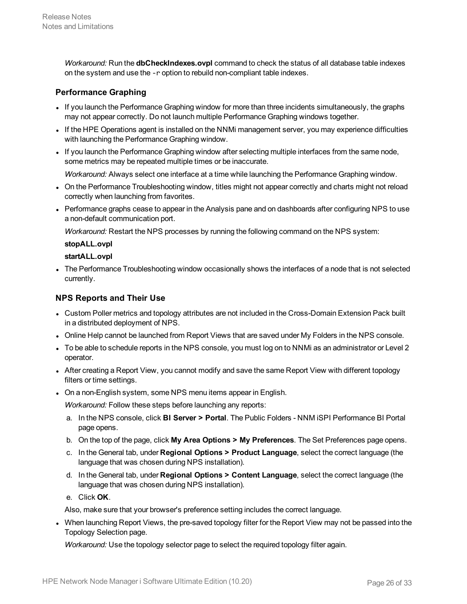*Workaround:* Run the **dbCheckIndexes.ovpl** command to check the status of all database table indexes on the system and use the -r option to rebuild non-compliant table indexes.

#### **Performance Graphing**

- If you launch the Performance Graphing window for more than three incidents simultaneously, the graphs may not appear correctly. Do not launch multiple Performance Graphing windows together.
- If the HPE Operations agent is installed on the NNMi management server, you may experience difficulties with launching the Performance Graphing window.
- If you launch the Performance Graphing window after selecting multiple interfaces from the same node, some metrics may be repeated multiple times or be inaccurate.

*Workaround:* Always select one interface at a time while launching the Performance Graphing window.

- On the Performance Troubleshooting window, titles might not appear correctly and charts might not reload correctly when launching from favorites.
- Performance graphs cease to appear in the Analysis pane and on dashboards after configuring NPS to use a non-default communication port.

*Workaround:* Restart the NPS processes by running the following command on the NPS system:

#### **stopALL.ovpl**

#### **startALL.ovpl**

The Performance Troubleshooting window occasionally shows the interfaces of a node that is not selected currently.

#### **NPS Reports and Their Use**

- Custom Poller metrics and topology attributes are not included in the Cross-Domain Extension Pack built in a distributed deployment of NPS.
- Online Help cannot be launched from Report Views that are saved under My Folders in the NPS console.
- To be able to schedule reports in the NPS console, you must log on to NNMi as an administrator or Level 2 operator.
- After creating a Report View, you cannot modify and save the same Report View with different topology filters or time settings.
- On a non-English system, some NPS menu items appear in English.

*Workaround:* Follow these steps before launching any reports:

- a. In the NPS console, click **BI Server > Portal**. The Public Folders NNM iSPI Performance BI Portal page opens.
- b. On the top of the page, click **My Area Options > My Preferences**. The Set Preferences page opens.
- c. In the General tab, under **Regional Options > Product Language**, select the correct language (the language that was chosen during NPS installation).
- d. In the General tab, under **Regional Options > Content Language**, select the correct language (the language that was chosen during NPS installation).
- e. Click **OK**.

Also, make sure that your browser's preference setting includes the correct language.

• When launching Report Views, the pre-saved topology filter for the Report View may not be passed into the Topology Selection page.

*Workaround:* Use the topology selector page to select the required topology filter again.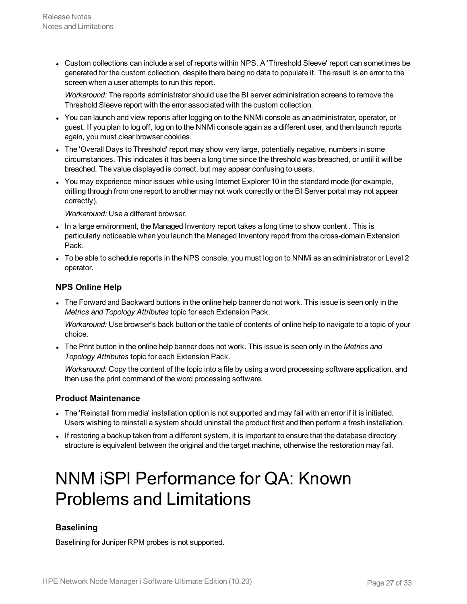• Custom collections can include a set of reports within NPS. A 'Threshold Sleeve' report can sometimes be generated for the custom collection, despite there being no data to populate it. The result is an error to the screen when a user attempts to run this report.

*Workaround:* The reports administrator should use the BI server administration screens to remove the Threshold Sleeve report with the error associated with the custom collection.

- You can launch and view reports after logging on to the NNMi console as an administrator, operator, or guest. If you plan to log off, log on to the NNMi console again as a different user, and then launch reports again, you must clear browser cookies.
- The 'Overall Days to Threshold' report may show very large, potentially negative, numbers in some circumstances. This indicates it has been a long time since the threshold was breached, or until it will be breached. The value displayed is correct, but may appear confusing to users.
- You may experience minor issues while using Internet Explorer 10 in the standard mode (for example, drilling through from one report to another may not work correctly or the BI Server portal may not appear correctly).

*Workaround:* Use a different browser.

- In a large environment, the Managed Inventory report takes a long time to show content. This is particularly noticeable when you launch the Managed Inventory report from the cross-domain Extension Pack.
- To be able to schedule reports in the NPS console, you must log on to NNMi as an administrator or Level 2 operator.

#### **NPS Online Help**

The Forward and Backward buttons in the online help banner do not work. This issue is seen only in the *Metrics and Topology Attributes* topic for each Extension Pack.

*Workaround:* Use browser's back button or the table of contents of online help to navigate to a topic of your choice.

<sup>l</sup> The Print button in the online help banner does not work. This issue is seen only in the *Metrics and Topology Attributes* topic for each Extension Pack.

*Workaround:* Copy the content of the topic into a file by using a word processing software application, and then use the print command of the word processing software.

#### **Product Maintenance**

- The 'Reinstall from media' installation option is not supported and may fail with an error if it is initiated. Users wishing to reinstall a system should uninstall the product first and then perform a fresh installation.
- <span id="page-26-0"></span>If restoring a backup taken from a different system, it is important to ensure that the database directory structure is equivalent between the original and the target machine, otherwise the restoration may fail.

### NNM iSPI Performance for QA: Known Problems and Limitations

#### **Baselining**

Baselining for Juniper RPM probes is not supported.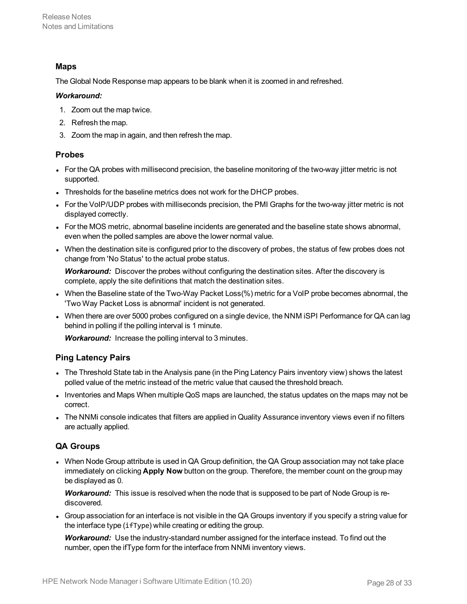#### **Maps**

The Global Node Response map appears to be blank when it is zoomed in and refreshed.

#### *Workaround:*

- 1. Zoom out the map twice.
- 2. Refresh the map.
- 3. Zoom the map in again, and then refresh the map.

#### **Probes**

- For the QA probes with millisecond precision, the baseline monitoring of the two-way jitter metric is not supported.
- Thresholds for the baseline metrics does not work for the DHCP probes.
- For the VoIP/UDP probes with milliseconds precision, the PMI Graphs for the two-way jitter metric is not displayed correctly.
- For the MOS metric, abnormal baseline incidents are generated and the baseline state shows abnormal, even when the polled samples are above the lower normal value.
- <sup>l</sup> When the destination site is configured prior to the discovery of probes, the status of few probes does not change from 'No Status' to the actual probe status.

*Workaround:* Discover the probes without configuring the destination sites. After the discovery is complete, apply the site definitions that match the destination sites.

- When the Baseline state of the Two-Way Packet Loss(%) metric for a VoIP probe becomes abnormal, the 'Two Way Packet Loss is abnormal' incident is not generated.
- When there are over 5000 probes configured on a single device, the NNM ISPI Performance for QA can lag behind in polling if the polling interval is 1 minute.

*Workaround:* Increase the polling interval to 3 minutes.

#### **Ping Latency Pairs**

- The Threshold State tab in the Analysis pane (in the Ping Latency Pairs inventory view) shows the latest polled value of the metric instead of the metric value that caused the threshold breach.
- Inventories and Maps When multiple QoS maps are launched, the status updates on the maps may not be correct.
- . The NNMi console indicates that filters are applied in Quality Assurance inventory views even if no filters are actually applied.

#### **QA Groups**

• When Node Group attribute is used in QA Group definition, the QA Group association may not take place immediately on clicking **Apply Now** button on the group. Therefore, the member count on the group may be displayed as 0.

*Workaround:* This issue is resolved when the node that is supposed to be part of Node Group is rediscovered.

• Group association for an interface is not visible in the QA Groups inventory if you specify a string value for the interface type (ifType) while creating or editing the group.

*Workaround:* Use the industry-standard number assigned for the interface instead. To find out the number, open the ifType form for the interface from NNMi inventory views.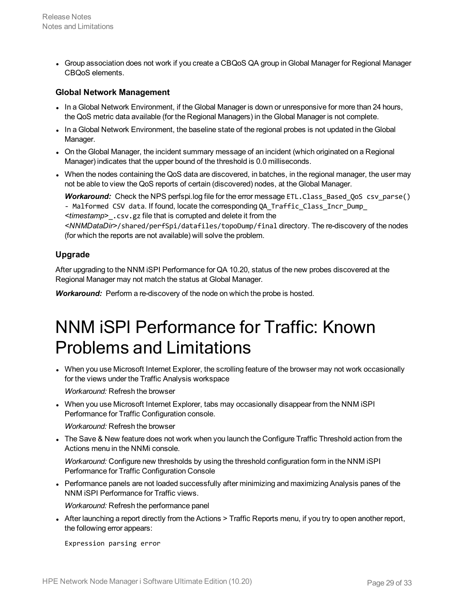• Group association does not work if you create a CBQoS QA group in Global Manager for Regional Manager CBQoS elements.

#### **Global Network Management**

- In a Global Network Environment, if the Global Manager is down or unresponsive for more than 24 hours, the QoS metric data available (for the Regional Managers) in the Global Manager is not complete.
- In a Global Network Environment, the baseline state of the regional probes is not updated in the Global Manager.
- On the Global Manager, the incident summary message of an incident (which originated on a Regional Manager) indicates that the upper bound of the threshold is 0.0 milliseconds.
- When the nodes containing the QoS data are discovered, in batches, in the regional manager, the user may not be able to view the QoS reports of certain (discovered) nodes, at the Global Manager.

**Workaround:** Check the NPS perfspi.log file for the error message ETL.Class Based QoS csv parse() - Malformed CSV data. If found, locate the corresponding OA Traffic Class Incr\_Dump *<timestamp>*\_.csv.gz file that is corrupted and delete it from the *<NNMDataDir>*/shared/perfSpi/datafiles/topoDump/final directory. The re-discovery of the nodes (for which the reports are not available) will solve the problem.

#### **Upgrade**

After upgrading to the NNM iSPI Performance for QA 10.20, status of the new probes discovered at the Regional Manager may not match the status at Global Manager.

<span id="page-28-0"></span>*Workaround:* Perform a re-discovery of the node on which the probe is hosted.

### NNM iSPI Performance for Traffic: Known Problems and Limitations

• When you use Microsoft Internet Explorer, the scrolling feature of the browser may not work occasionally for the views under the Traffic Analysis workspace

*Workaround:* Refresh the browser

• When you use Microsoft Internet Explorer, tabs may occasionally disappear from the NNM iSPI Performance for Traffic Configuration console.

*Workaround:* Refresh the browser

The Save & New feature does not work when you launch the Configure Traffic Threshold action from the Actions menu in the NNMi console.

*Workaround:* Configure new thresholds by using the threshold configuration form in the NNM iSPI Performance for Traffic Configuration Console

• Performance panels are not loaded successfully after minimizing and maximizing Analysis panes of the NNM iSPI Performance for Traffic views.

*Workaround:* Refresh the performance panel

• After launching a report directly from the Actions > Traffic Reports menu, if you try to open another report, the following error appears:

Expression parsing error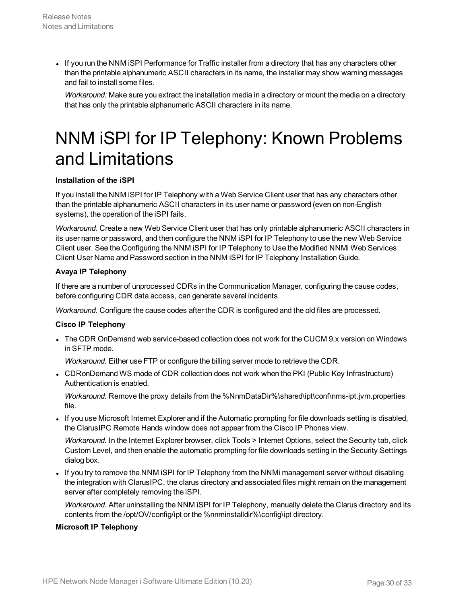If you run the NNM ISPI Performance for Traffic installer from a directory that has any characters other than the printable alphanumeric ASCII characters in its name, the installer may show warning messages and fail to install some files.

<span id="page-29-0"></span>*Workaround:* Make sure you extract the installation media in a directory or mount the media on a directory that has only the printable alphanumeric ASCII characters in its name.

## NNM iSPI for IP Telephony: Known Problems and Limitations

#### **Installation of the iSPI**

If you install the NNM iSPI for IP Telephony with a Web Service Client user that has any characters other than the printable alphanumeric ASCII characters in its user name or password (even on non-English systems), the operation of the iSPI fails.

*Workaround.* Create a new Web Service Client user that has only printable alphanumeric ASCII characters in its user name or password, and then configure the NNM iSPI for IP Telephony to use the new Web Service Client user. See the Configuring the NNM iSPI for IP Telephony to Use the Modified NNMi Web Services Client User Name and Password section in the NNM iSPI for IP Telephony Installation Guide.

#### **Avaya IP Telephony**

If there are a number of unprocessed CDRs in the Communication Manager, configuring the cause codes, before configuring CDR data access, can generate several incidents.

*Workaround.* Configure the cause codes after the CDR is configured and the old files are processed.

#### **Cisco IP Telephony**

• The CDR OnDemand web service-based collection does not work for the CUCM 9.x version on Windows in SFTP mode.

*Workaround.* Either use FTP or configure the billing server mode to retrieve the CDR.

• CDRonDemand WS mode of CDR collection does not work when the PKI (Public Key Infrastructure) Authentication is enabled.

*Workaround.* Remove the proxy details from the %NnmDataDir%\shared\ipt\conf\nms-ipt.jvm.properties file.

• If you use Microsoft Internet Explorer and if the Automatic prompting for file downloads setting is disabled, the ClarusIPC Remote Hands window does not appear from the Cisco IP Phones view.

*Workaround.* In the Internet Explorer browser, click Tools > Internet Options, select the Security tab, click Custom Level, and then enable the automatic prompting for file downloads setting in the Security Settings dialog box.

• If you try to remove the NNM ISPI for IP Telephony from the NNMI management server without disabling the integration with ClarusIPC, the clarus directory and associated files might remain on the management server after completely removing the iSPI.

*Workaround.* After uninstalling the NNM iSPI for IP Telephony, manually delete the Clarus directory and its contents from the /opt/OV/config/ipt or the %nnminstalldir%\config\ipt directory.

#### **Microsoft IP Telephony**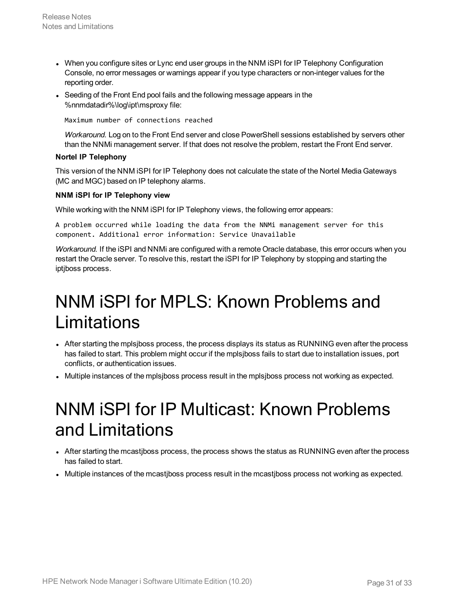- When you configure sites or Lync end user groups in the NNM iSPI for IP Telephony Configuration Console, no error messages or warnings appear if you type characters or non-integer values for the reporting order.
- Seeding of the Front End pool fails and the following message appears in the %nnmdatadir%\log\ipt\msproxy file:

Maximum number of connections reached

*Workaround.* Log on to the Front End server and close PowerShell sessions established by servers other than the NNMi management server. If that does not resolve the problem, restart the Front End server.

#### **Nortel IP Telephony**

This version of the NNM iSPI for IP Telephony does not calculate the state of the Nortel Media Gateways (MC and MGC) based on IP telephony alarms.

#### **NNM iSPI for IP Telephony view**

While working with the NNM iSPI for IP Telephony views, the following error appears:

A problem occurred while loading the data from the NNMi management server for this component. Additional error information: Service Unavailable

*Workaround.* If the iSPI and NNMi are configured with a remote Oracle database, this error occurs when you restart the Oracle server. To resolve this, restart the iSPI for IP Telephony by stopping and starting the iptjboss process.

### <span id="page-30-0"></span>NNM iSPI for MPLS: Known Problems and Limitations

- After starting the mplsjboss process, the process displays its status as RUNNING even after the process has failed to start. This problem might occur if the mplsjboss fails to start due to installation issues, port conflicts, or authentication issues.
- <span id="page-30-1"></span>• Multiple instances of the mplsjboss process result in the mplsjboss process not working as expected.

### NNM iSPI for IP Multicast: Known Problems and Limitations

- After starting the mcastiboss process, the process shows the status as RUNNING even after the process has failed to start.
- Multiple instances of the mcastiboss process result in the mcastiboss process not working as expected.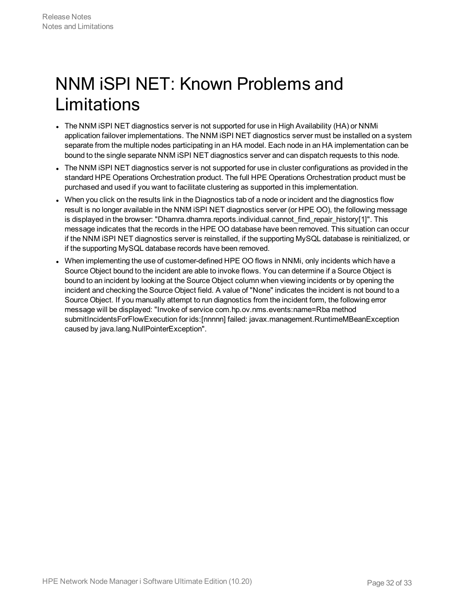## <span id="page-31-0"></span>NNM iSPI NET: Known Problems and Limitations

- The NNM iSPI NET diagnostics server is not supported for use in High Availability (HA) or NNMi application failover implementations. The NNM iSPI NET diagnostics server must be installed on a system separate from the multiple nodes participating in an HA model. Each node in an HA implementation can be bound to the single separate NNM iSPI NET diagnostics server and can dispatch requests to this node.
- The NNM ISPI NET diagnostics server is not supported for use in cluster configurations as provided in the standard HPE Operations Orchestration product. The full HPE Operations Orchestration product must be purchased and used if you want to facilitate clustering as supported in this implementation.
- When you click on the results link in the Diagnostics tab of a node or incident and the diagnostics flow result is no longer available in the NNM iSPI NET diagnostics server (or HPE OO), the following message is displayed in the browser: "Dhamra.dhamra.reports.individual.cannot find repair history[1]". This message indicates that the records in the HPE OO database have been removed. This situation can occur if the NNM iSPI NET diagnostics server is reinstalled, if the supporting MySQL database is reinitialized, or if the supporting MySQL database records have been removed.
- When implementing the use of customer-defined HPE OO flows in NNMi, only incidents which have a Source Object bound to the incident are able to invoke flows. You can determine if a Source Object is bound to an incident by looking at the Source Object column when viewing incidents or by opening the incident and checking the Source Object field. A value of "None" indicates the incident is not bound to a Source Object. If you manually attempt to run diagnostics from the incident form, the following error message will be displayed: "Invoke of service com.hp.ov.nms.events:name=Rba method submitIncidentsForFlowExecution for ids:[nnnnn] failed: javax.management.RuntimeMBeanException caused by java.lang.NullPointerException".